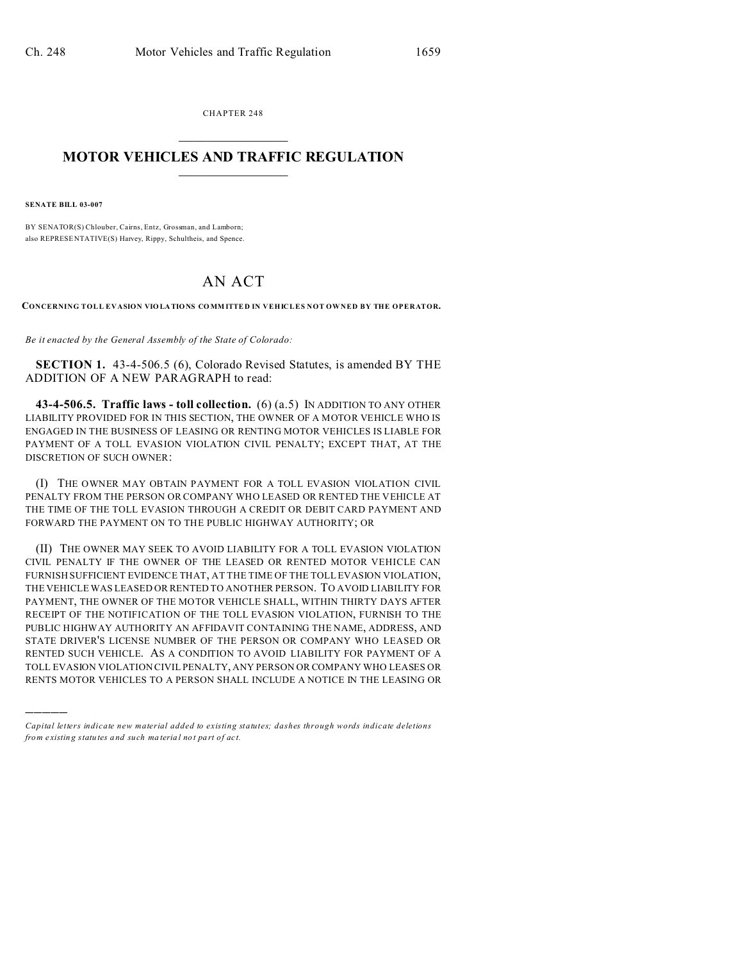CHAPTER 248  $\overline{\phantom{a}}$  , where  $\overline{\phantom{a}}$ 

## **MOTOR VEHICLES AND TRAFFIC REGULATION**  $\frac{1}{2}$  ,  $\frac{1}{2}$  ,  $\frac{1}{2}$  ,  $\frac{1}{2}$  ,  $\frac{1}{2}$  ,  $\frac{1}{2}$  ,  $\frac{1}{2}$

**SENATE BILL 03-007**

)))))

BY SENATOR(S) Chlouber, Cairns, Entz, Grossman, and Lamborn; also REPRESE NTATIVE(S) Harvey, Rippy, Schultheis, and Spence.

## AN ACT

**CONCERNING TOLL EVASION VIOLA TIONS CO MM ITTE D IN VEHICLES NOT OWNED BY THE OPERATOR.**

*Be it enacted by the General Assembly of the State of Colorado:*

**SECTION 1.** 43-4-506.5 (6), Colorado Revised Statutes, is amended BY THE ADDITION OF A NEW PARAGRAPH to read:

**43-4-506.5. Traffic laws - toll collection.** (6) (a.5) IN ADDITION TO ANY OTHER LIABILITY PROVIDED FOR IN THIS SECTION, THE OWNER OF A MOTOR VEHICLE WHO IS ENGAGED IN THE BUSINESS OF LEASING OR RENTING MOTOR VEHICLES IS LIABLE FOR PAYMENT OF A TOLL EVASION VIOLATION CIVIL PENALTY; EXCEPT THAT, AT THE DISCRETION OF SUCH OWNER:

(I) THE OWNER MAY OBTAIN PAYMENT FOR A TOLL EVASION VIOLATION CIVIL PENALTY FROM THE PERSON OR COMPANY WHO LEASED OR RENTED THE VEHICLE AT THE TIME OF THE TOLL EVASION THROUGH A CREDIT OR DEBIT CARD PAYMENT AND FORWARD THE PAYMENT ON TO THE PUBLIC HIGHWAY AUTHORITY; OR

(II) THE OWNER MAY SEEK TO AVOID LIABILITY FOR A TOLL EVASION VIOLATION CIVIL PENALTY IF THE OWNER OF THE LEASED OR RENTED MOTOR VEHICLE CAN FURNISH SUFFICIENT EVIDENCE THAT, AT THE TIME OF THE TOLL EVASION VIOLATION, THE VEHICLE WAS LEASED OR RENTED TO ANOTHER PERSON. TO AVOID LIABILITY FOR PAYMENT, THE OWNER OF THE MOTOR VEHICLE SHALL, WITHIN THIRTY DAYS AFTER RECEIPT OF THE NOTIFICATION OF THE TOLL EVASION VIOLATION, FURNISH TO THE PUBLIC HIGHWAY AUTHORITY AN AFFIDAVIT CONTAINING THE NAME, ADDRESS, AND STATE DRIVER'S LICENSE NUMBER OF THE PERSON OR COMPANY WHO LEASED OR RENTED SUCH VEHICLE. AS A CONDITION TO AVOID LIABILITY FOR PAYMENT OF A TOLL EVASION VIOLATION CIVIL PENALTY, ANY PERSON OR COMPANY WHO LEASES OR RENTS MOTOR VEHICLES TO A PERSON SHALL INCLUDE A NOTICE IN THE LEASING OR

*Capital letters indicate new material added to existing statutes; dashes through words indicate deletions from e xistin g statu tes a nd such ma teria l no t pa rt of ac t.*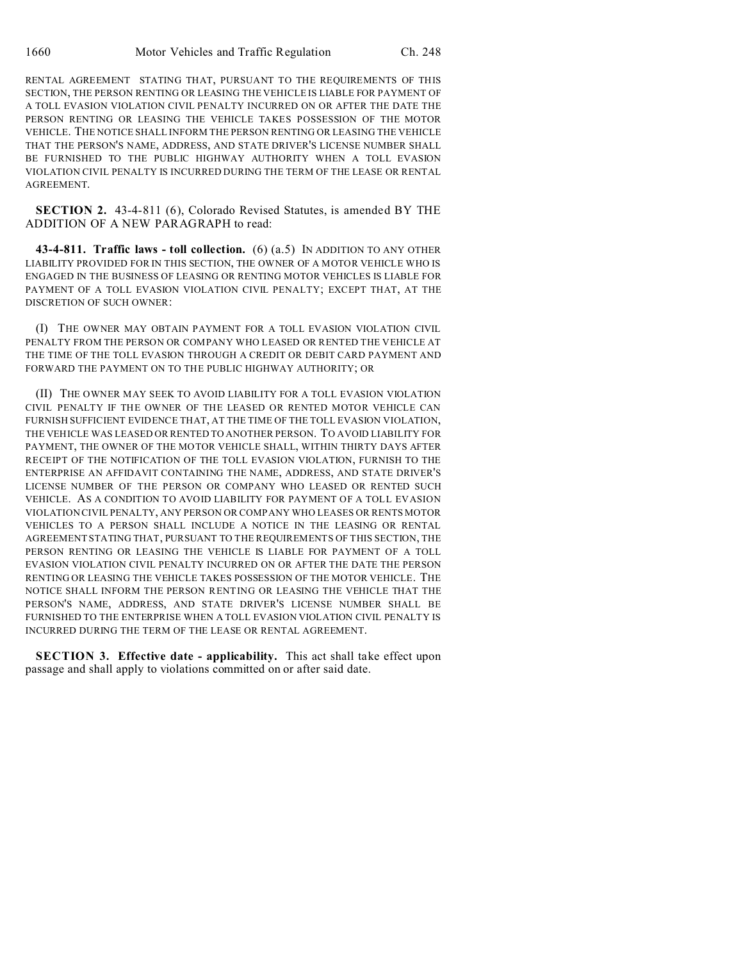RENTAL AGREEMENT STATING THAT, PURSUANT TO THE REQUIREMENTS OF THIS SECTION, THE PERSON RENTING OR LEASING THE VEHICLE IS LIABLE FOR PAYMENT OF A TOLL EVASION VIOLATION CIVIL PENALTY INCURRED ON OR AFTER THE DATE THE PERSON RENTING OR LEASING THE VEHICLE TAKES POSSESSION OF THE MOTOR VEHICLE. THE NOTICE SHALL INFORM THE PERSON RENTING OR LEASING THE VEHICLE THAT THE PERSON'S NAME, ADDRESS, AND STATE DRIVER'S LICENSE NUMBER SHALL BE FURNISHED TO THE PUBLIC HIGHWAY AUTHORITY WHEN A TOLL EVASION VIOLATION CIVIL PENALTY IS INCURRED DURING THE TERM OF THE LEASE OR RENTAL AGREEMENT.

**SECTION 2.** 43-4-811 (6), Colorado Revised Statutes, is amended BY THE ADDITION OF A NEW PARAGRAPH to read:

**43-4-811. Traffic laws - toll collection.** (6) (a.5) IN ADDITION TO ANY OTHER LIABILITY PROVIDED FOR IN THIS SECTION, THE OWNER OF A MOTOR VEHICLE WHO IS ENGAGED IN THE BUSINESS OF LEASING OR RENTING MOTOR VEHICLES IS LIABLE FOR PAYMENT OF A TOLL EVASION VIOLATION CIVIL PENALTY; EXCEPT THAT, AT THE DISCRETION OF SUCH OWNER:

(I) THE OWNER MAY OBTAIN PAYMENT FOR A TOLL EVASION VIOLATION CIVIL PENALTY FROM THE PERSON OR COMPANY WHO LEASED OR RENTED THE VEHICLE AT THE TIME OF THE TOLL EVASION THROUGH A CREDIT OR DEBIT CARD PAYMENT AND FORWARD THE PAYMENT ON TO THE PUBLIC HIGHWAY AUTHORITY; OR

(II) THE OWNER MAY SEEK TO AVOID LIABILITY FOR A TOLL EVASION VIOLATION CIVIL PENALTY IF THE OWNER OF THE LEASED OR RENTED MOTOR VEHICLE CAN FURNISH SUFFICIENT EVIDENCE THAT, AT THE TIME OF THE TOLL EVASION VIOLATION, THE VEHICLE WAS LEASED OR RENTED TO ANOTHER PERSON. TO AVOID LIABILITY FOR PAYMENT, THE OWNER OF THE MOTOR VEHICLE SHALL, WITHIN THIRTY DAYS AFTER RECEIPT OF THE NOTIFICATION OF THE TOLL EVASION VIOLATION, FURNISH TO THE ENTERPRISE AN AFFIDAVIT CONTAINING THE NAME, ADDRESS, AND STATE DRIVER'S LICENSE NUMBER OF THE PERSON OR COMPANY WHO LEASED OR RENTED SUCH VEHICLE. AS A CONDITION TO AVOID LIABILITY FOR PAYMENT OF A TOLL EVASION VIOLATION CIVIL PENALTY, ANY PERSON OR COMPANY WHO LEASES OR RENTS MOTOR VEHICLES TO A PERSON SHALL INCLUDE A NOTICE IN THE LEASING OR RENTAL AGREEMENT STATING THAT, PURSUANT TO THE REQUIREMENTS OF THIS SECTION, THE PERSON RENTING OR LEASING THE VEHICLE IS LIABLE FOR PAYMENT OF A TOLL EVASION VIOLATION CIVIL PENALTY INCURRED ON OR AFTER THE DATE THE PERSON RENTING OR LEASING THE VEHICLE TAKES POSSESSION OF THE MOTOR VEHICLE. THE NOTICE SHALL INFORM THE PERSON RENTING OR LEASING THE VEHICLE THAT THE PERSON'S NAME, ADDRESS, AND STATE DRIVER'S LICENSE NUMBER SHALL BE FURNISHED TO THE ENTERPRISE WHEN A TOLL EVASION VIOLATION CIVIL PENALTY IS INCURRED DURING THE TERM OF THE LEASE OR RENTAL AGREEMENT.

**SECTION 3. Effective date - applicability.** This act shall take effect upon passage and shall apply to violations committed on or after said date.